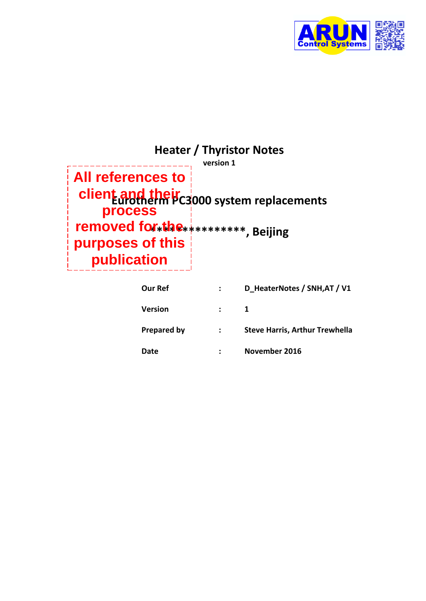

| <b>Heater / Thyristor Notes</b><br>version 1                            |                                            |  |  |
|-------------------------------------------------------------------------|--------------------------------------------|--|--|
| $\parallel$ All references to $\parallel$                               |                                            |  |  |
| process                                                                 | client and their allow system replacements |  |  |
| removed for the ***********, Beijing<br>purposes of this<br>publication |                                            |  |  |

| <b>Our Ref</b>     |               | D HeaterNotes / SNH, AT / V1          |
|--------------------|---------------|---------------------------------------|
| <b>Version</b>     |               |                                       |
| <b>Prepared by</b> | $\sim$ $\sim$ | <b>Steve Harris, Arthur Trewhella</b> |
| Date               |               | November 2016                         |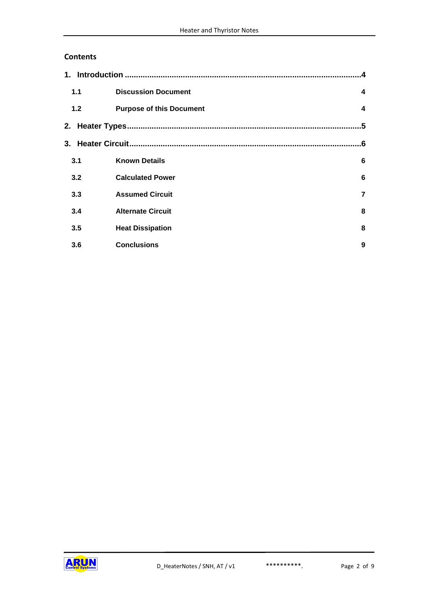#### **Contents**

| 1.1   | <b>Discussion Document</b>      | 4                       |
|-------|---------------------------------|-------------------------|
| $1.2$ | <b>Purpose of this Document</b> | $\overline{\mathbf{4}}$ |
|       |                                 | .5                      |
|       |                                 | .6                      |
| 3.1   | <b>Known Details</b>            | 6                       |
| 3.2   | <b>Calculated Power</b>         | 6                       |
| 3.3   | <b>Assumed Circuit</b>          | $\overline{7}$          |
| 3.4   | <b>Alternate Circuit</b>        | 8                       |
| 3.5   | <b>Heat Dissipation</b>         | 8                       |
| 3.6   | <b>Conclusions</b>              | 9                       |

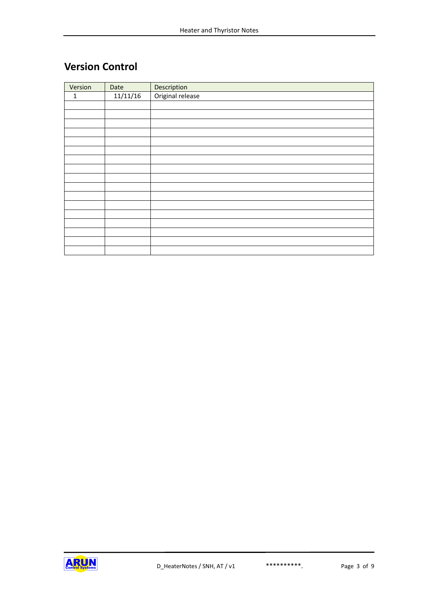# **Version Control**

| Version | Date     | Description      |
|---------|----------|------------------|
| 1       | 11/11/16 | Original release |
|         |          |                  |
|         |          |                  |
|         |          |                  |
|         |          |                  |
|         |          |                  |
|         |          |                  |
|         |          |                  |
|         |          |                  |
|         |          |                  |
|         |          |                  |
|         |          |                  |
|         |          |                  |
|         |          |                  |
|         |          |                  |
|         |          |                  |
|         |          |                  |
|         |          |                  |

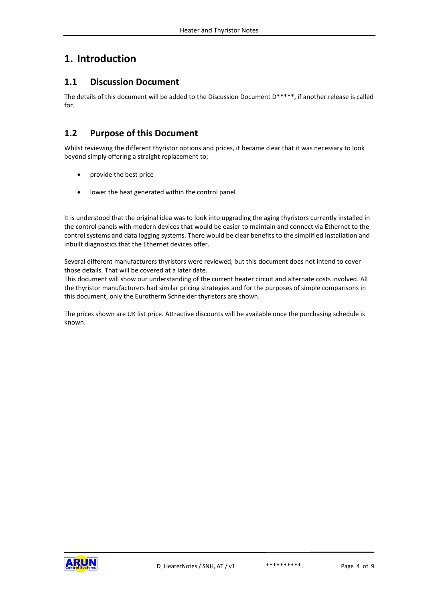## <span id="page-3-0"></span>**1. Introduction**

#### <span id="page-3-1"></span>**1.1 Discussion Document**

The details of this document will be added to the Discussion Document D\*\*\*\*\*, if another release is called for.

#### <span id="page-3-2"></span>**1.2 Purpose of this Document**

Whilst reviewing the different thyristor options and prices, it became clear that it was necessary to look beyond simply offering a straight replacement to;

- provide the best price
- lower the heat generated within the control panel

It is understood that the original idea was to look into upgrading the aging thyristors currently installed in the control panels with modern devices that would be easier to maintain and connect via Ethernet to the control systems and data logging systems. There would be clear benefits to the simplified installation and inbuilt diagnostics that the Ethernet devices offer.

Several different manufacturers thyristors were reviewed, but this document does not intend to cover those details. That will be covered at a later date.

This document will show our understanding of the current heater circuit and alternate costs involved. All the thyristor manufacturers had similar pricing strategies and for the purposes of simple comparisons in this document, only the Eurotherm Schneider thyristors are shown.

The prices shown are UK list price. Attractive discounts will be available once the purchasing schedule is known.

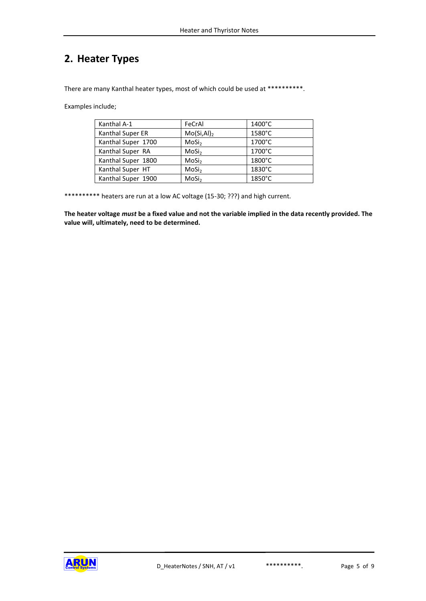# <span id="page-4-0"></span>**2. Heater Types**

There are many Kanthal heater types, most of which could be used at \*\*\*\*\*\*\*\*\*\*.

Examples include;

| Kanthal A-1        | FeCrAl                  | $1400^{\circ}$ C |
|--------------------|-------------------------|------------------|
| Kanthal Super ER   | Mo(Si, Al) <sub>2</sub> | 1580°C           |
| Kanthal Super 1700 | MoSi <sub>2</sub>       | 1700°C           |
| Kanthal Super RA   | MoSi <sub>2</sub>       | 1700°C           |
| Kanthal Super 1800 | MoSi <sub>2</sub>       | 1800°C           |
| Kanthal Super HT   | MoSi <sub>2</sub>       | 1830°C           |
| Kanthal Super 1900 | MoSi <sub>2</sub>       | 1850°C           |

\*\*\*\*\*\*\*\*\*\* heaters are run at a low AC voltage (15-30; ???) and high current.

**The heater voltage** *must* **be a fixed value and not the variable implied in the data recently provided. The value will, ultimately, need to be determined.**

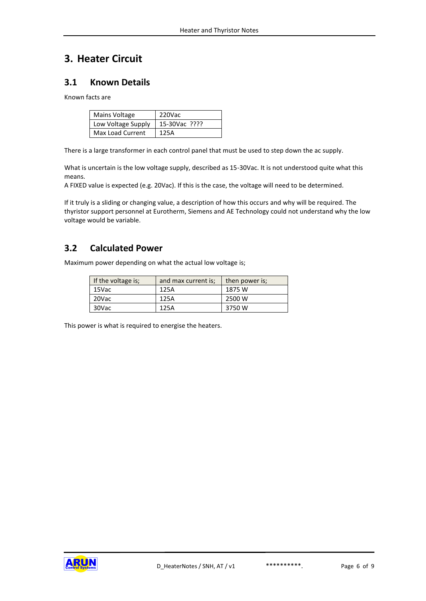## <span id="page-5-0"></span>**3. Heater Circuit**

#### <span id="page-5-1"></span>**3.1 Known Details**

Known facts are

| Mains Voltage      | 220Vac        |
|--------------------|---------------|
| Low Voltage Supply | 15-30Vac ???? |
| Max Load Current   | 125A          |

There is a large transformer in each control panel that must be used to step down the ac supply.

What is uncertain is the low voltage supply, described as 15-30Vac. It is not understood quite what this means.

A FIXED value is expected (e.g. 20Vac). If this is the case, the voltage will need to be determined.

If it truly is a sliding or changing value, a description of how this occurs and why will be required. The thyristor support personnel at Eurotherm, Siemens and AE Technology could not understand why the low voltage would be variable.

#### <span id="page-5-2"></span>**3.2 Calculated Power**

Maximum power depending on what the actual low voltage is;

| If the voltage is; | and max current is: | then power is; |  |
|--------------------|---------------------|----------------|--|
| 15Vac              | 125A                | 1875 W         |  |
| 20Vac              | 125A                | 2500 W         |  |
| 30Vac              | 125A                | 3750 W         |  |

This power is what is required to energise the heaters.

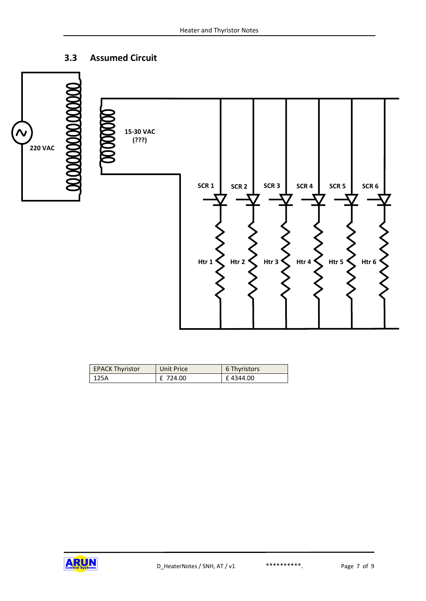## <span id="page-6-0"></span>**3.3 Assumed Circuit**



| <b>EPACK Thyristor</b> | Unit Price | 6 Thyristors |
|------------------------|------------|--------------|
| 125A                   | £ 724.00   | £4344.00     |

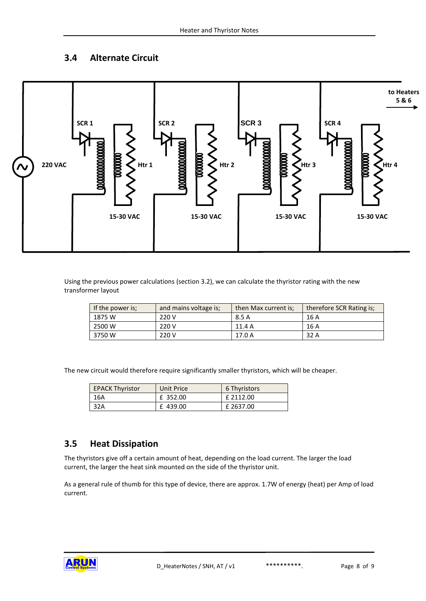### <span id="page-7-0"></span>**3.4 Alternate Circuit**



Using the previous power calculations (section [3.2\)](#page-5-2), we can calculate the thyristor rating with the new transformer layout

| If the power is: | and mains voltage is; | then Max current is: | therefore SCR Rating is; |
|------------------|-----------------------|----------------------|--------------------------|
| 1875 W           | 220 V                 | 8.5 A                | 16 A                     |
| 2500 W           | 220 V                 | 11.4 A               | 16 A                     |
| 3750 W           | 220 V                 | 17.0 A               | 32 A                     |

The new circuit would therefore require significantly smaller thyristors, which will be cheaper.

| <b>EPACK Thyristor</b> | Unit Price | 6 Thyristors |
|------------------------|------------|--------------|
| 16A                    | £ 352.00   | £ 2112.00    |
| 32A                    | £439.00    | £ 2637.00    |

#### <span id="page-7-1"></span>**3.5 Heat Dissipation**

The thyristors give off a certain amount of heat, depending on the load current. The larger the load current, the larger the heat sink mounted on the side of the thyristor unit.

As a general rule of thumb for this type of device, there are approx. 1.7W of energy (heat) per Amp of load current.